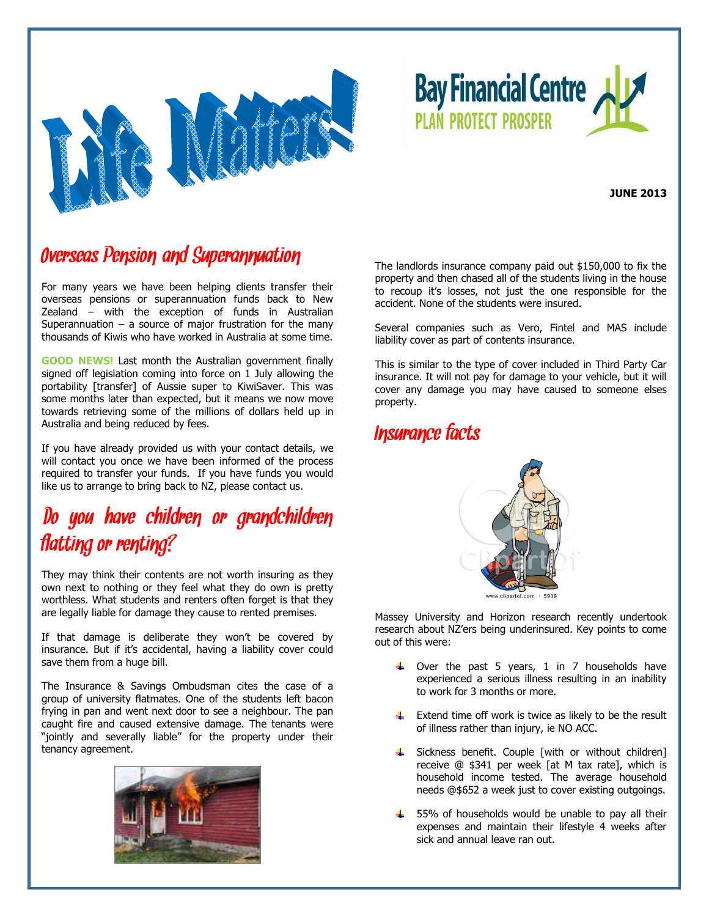

**Bay Financial Centre PLAN PROTECT PROSPER** 

**JUNE 2013**

### Overseas Pension and Superannuation

For many years we have been helping clients transfer their overseas pensions or superannuation funds back to New Zealand – with the exception of funds in Australian Superannuation  $-$  a source of major frustration for the many thousands of Kiwis who have worked in Australia at some time.

**GOOD NEWS!** Last month the Australian government finally signed off legislation coming into force on 1 July allowing the portability [transfer] of Aussie super to KiwiSaver. This was some months later than expected, but it means we now move towards retrieving some of the millions of dollars held up in Australia and being reduced by fees.

If you have already provided us with your contact details, we will contact you once we have been informed of the process required to transfer your funds. If you have funds you would like us to arrange to bring back to NZ, please contact us.

## Do you have children or grandchildren flatting or renting?

They may think their contents are not worth insuring as they own next to nothing or they feel what they do own is pretty worthless. What students and renters often forget is that they are legally liable for damage they cause to rented premises.

If that damage is deliberate they won't be covered by insurance. But if it's accidental, having a liability cover could save them from a huge bill.

The Insurance & Savings Ombudsman cites the case of a group of university flatmates. One of the students left bacon frying in pan and went next door to see a neighbour. The pan caught fire and caused extensive damage. The tenants were "jointly and severally liable" for the property under their tenancy agreement.



The landlords insurance company paid out \$150,000 to fix the property and then chased all of the students living in the house to recoup it's losses, not just the one responsible for the accident. None of the students were insured.

Several companies such as Vero, Fintel and MAS include liability cover as part of contents insurance.

This is similar to the type of cover included in Third Party Car insurance. It will not pay for damage to your vehicle, but it will cover any damage you may have caused to someone elses property.

### Insurance facts



Massey University and Horizon research recently undertook research about NZ'ers being underinsured. Key points to come out of this were:

- $\uparrow$  Over the past 5 years, 1 in 7 households have experienced a serious illness resulting in an inability to work for 3 months or more.
- $\ddot{\bullet}$  Extend time off work is twice as likely to be the result of illness rather than injury, ie NO ACC.
- **4** Sickness benefit. Couple [with or without children] receive @ \$341 per week [at M tax rate], which is household income tested. The average household needs @\$652 a week just to cover existing outgoings.
- $\frac{4}{1}$  55% of households would be unable to pay all their expenses and maintain their lifestyle 4 weeks after sick and annual leave ran out.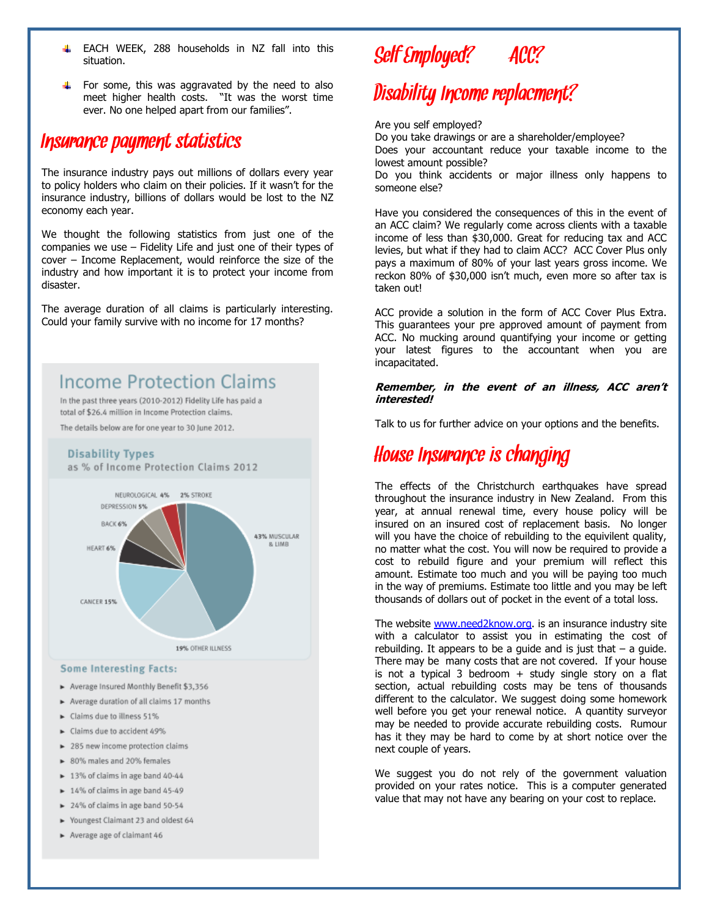- EACH WEEK, 288 households in NZ fall into this 4. situation.
- For some, this was aggravated by the need to also meet higher health costs. "It was the worst time ever. No one helped apart from our families".

### Insurance payment statistics

The insurance industry pays out millions of dollars every year to policy holders who claim on their policies. If it wasn't for the insurance industry, billions of dollars would be lost to the NZ economy each year.

We thought the following statistics from just one of the companies we use – Fidelity Life and just one of their types of cover – Income Replacement, would reinforce the size of the industry and how important it is to protect your income from disaster.

The average duration of all claims is particularly interesting. Could your family survive with no income for 17 months?

### **Income Protection Claims**

In the past three years (2010-2012) Fidelity Life has paid a total of \$26.4 million in Income Protection claims.

The details below are for one year to 30 June 2012.

### **Disability Types**

as % of Income Protection Claims 2012



#### **Some Interesting Facts:**

- ► Average Insured Monthly Benefit \$3,356
- > Average duration of all claims 17 months
- ► Claims due to illness 51%
- ► Claims due to accident 49%
- > 285 new income protection claims
- 80% males and 20% females
- > 13% of claims in age band 40-44
- 14% of claims in age band 45-49
- > 24% of claims in age band 50-54
- Youngest Claimant 23 and oldest 64
- Average age of claimant 46

# Self Employed? ACC?

# Disability Income replacment?

#### Are you self employed?

Do you take drawings or are a shareholder/employee? Does your accountant reduce your taxable income to the lowest amount possible?

Do you think accidents or major illness only happens to someone else?

Have you considered the consequences of this in the event of an ACC claim? We regularly come across clients with a taxable income of less than \$30,000. Great for reducing tax and ACC levies, but what if they had to claim ACC? ACC Cover Plus only pays a maximum of 80% of your last years gross income. We reckon 80% of \$30,000 isn't much, even more so after tax is taken out!

ACC provide a solution in the form of ACC Cover Plus Extra. This guarantees your pre approved amount of payment from ACC. No mucking around quantifying your income or getting your latest figures to the accountant when you are incapacitated.

#### **Remember, in the event of an illness, ACC aren't interested!**

Talk to us for further advice on your options and the benefits.

### House Insurance is changing

The effects of the Christchurch earthquakes have spread throughout the insurance industry in New Zealand. From this year, at annual renewal time, every house policy will be insured on an insured cost of replacement basis. No longer will you have the choice of rebuilding to the equivilent quality, no matter what the cost. You will now be required to provide a cost to rebuild figure and your premium will reflect this amount. Estimate too much and you will be paying too much in the way of premiums. Estimate too little and you may be left thousands of dollars out of pocket in the event of a total loss.

The website [www.need2know.org.](http://www.need2know.org/) is an insurance industry site with a calculator to assist you in estimating the cost of rebuilding. It appears to be a guide and is just that  $-$  a guide. There may be many costs that are not covered. If your house is not a typical 3 bedroom  $+$  study single story on a flat section, actual rebuilding costs may be tens of thousands different to the calculator. We suggest doing some homework well before you get your renewal notice. A quantity surveyor may be needed to provide accurate rebuilding costs. Rumour has it they may be hard to come by at short notice over the next couple of years.

We suggest you do not rely of the government valuation provided on your rates notice. This is a computer generated value that may not have any bearing on your cost to replace.